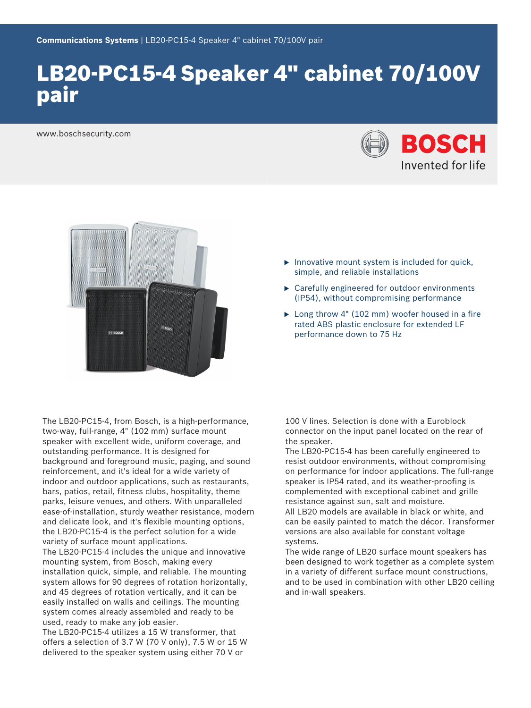# LB20-PC15-4 Speaker 4" cabinet 70/100V pair

www.boschsecurity.com





- $\blacktriangleright$  Innovative mount system is included for quick, simple, and reliable installations
- $\blacktriangleright$  Carefully engineered for outdoor environments (IP54), without compromising performance
- $\blacktriangleright$  Long throw 4" (102 mm) woofer housed in a fire rated ABS plastic enclosure for extended LF performance down to 75 Hz

The LB20-PC15-4, from Bosch, is a high-performance, two-way, full-range, 4" (102 mm) surface mount speaker with excellent wide, uniform coverage, and outstanding performance. It is designed for background and foreground music, paging, and sound reinforcement, and it's ideal for a wide variety of indoor and outdoor applications, such as restaurants, bars, patios, retail, fitness clubs, hospitality, theme parks, leisure venues, and others. With unparalleled ease-of-installation, sturdy weather resistance, modern and delicate look, and it's flexible mounting options, the LB20-PC15-4 is the perfect solution for a wide variety of surface mount applications.

The LB20-PC15-4 includes the unique and innovative mounting system, from Bosch, making every installation quick, simple, and reliable. The mounting system allows for 90 degrees of rotation horizontally, and 45 degrees of rotation vertically, and it can be easily installed on walls and ceilings. The mounting system comes already assembled and ready to be used, ready to make any job easier.

The LB20-PC15-4 utilizes a 15 W transformer, that offers a selection of 3.7 W (70 V only), 7.5 W or 15 W delivered to the speaker system using either 70 V or

100 V lines. Selection is done with a Euroblock connector on the input panel located on the rear of the speaker.

The LB20-PC15-4 has been carefully engineered to resist outdoor environments, without compromising on performance for indoor applications. The full-range speaker is IP54 rated, and its weather-proofing is complemented with exceptional cabinet and grille resistance against sun, salt and moisture.

All LB20 models are available in black or white, and can be easily painted to match the décor. Transformer versions are also available for constant voltage systems.

The wide range of LB20 surface mount speakers has been designed to work together as a complete system in a variety of different surface mount constructions, and to be used in combination with other LB20 ceiling and in-wall speakers.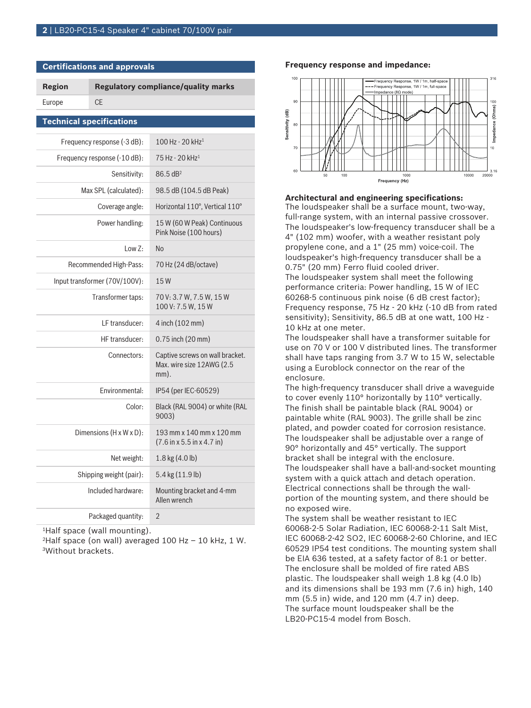**Certifications and approvals**

| <b>Region</b>                   | <b>Regulatory compliance/quality marks</b> |                                                                                    |
|---------------------------------|--------------------------------------------|------------------------------------------------------------------------------------|
| Europe                          | <b>CE</b>                                  |                                                                                    |
| <b>Technical specifications</b> |                                            |                                                                                    |
| Frequency response (-3 dB):     |                                            | 100 Hz - 20 kHz <sup>1</sup>                                                       |
| Frequency response (-10 dB):    |                                            | 75 Hz - 20 kHz <sup>1</sup>                                                        |
| Sensitivity:                    |                                            | 86.5 dB <sup>2</sup>                                                               |
| Max SPL (calculated):           |                                            | 98.5 dB (104.5 dB Peak)                                                            |
| Coverage angle:                 |                                            | Horizontal 110°, Vertical 110°                                                     |
| Power handling:                 |                                            | 15 W (60 W Peak) Continuous<br>Pink Noise (100 hours)                              |
| Low Z:                          |                                            | N <sub>0</sub>                                                                     |
| Recommended High-Pass:          |                                            | 70 Hz (24 dB/octave)                                                               |
| Input transformer (70V/100V):   |                                            | 15W                                                                                |
| Transformer taps:               |                                            | 70 V: 3.7 W, 7.5 W, 15 W<br>100 V: 7.5 W, 15 W                                     |
| LF transducer:                  |                                            | 4 inch (102 mm)                                                                    |
| HF transducer:                  |                                            | $0.75$ inch $(20$ mm $)$                                                           |
| Connectors:                     |                                            | Captive screws on wall bracket.<br>Max. wire size 12AWG (2.5<br>$mm$ ).            |
| Environmental:                  |                                            | IP54 (per IEC-60529)                                                               |
| Color:                          |                                            | Black (RAL 9004) or white (RAL<br>9003)                                            |
| Dimensions (H x W x D):         |                                            | 193 mm x 140 mm x 120 mm<br>$(7.6 \text{ in } x 5.5 \text{ in } x 4.7 \text{ in})$ |
| Net weight:                     |                                            | 1.8 kg (4.0 lb)                                                                    |
| Shipping weight (pair):         |                                            | 5.4 kg (11.9 lb)                                                                   |
| Included hardware:              |                                            | Mounting bracket and 4-mm<br>Allen wrench                                          |
| Packaged quantity:              |                                            | $\overline{2}$                                                                     |

<sup>1</sup>Half space (wall mounting).

<sup>2</sup>Half space (on wall) averaged 100 Hz - 10 kHz, 1 W. <sup>3</sup>Without brackets.

#### **Frequency response and impedance:**



#### **Architectural and engineering specifications:**

The loudspeaker shall be a surface mount, two-way, full-range system, with an internal passive crossover. The loudspeaker's low-frequency transducer shall be a 4" (102 mm) woofer, with a weather resistant poly propylene cone, and a 1" (25 mm) voice-coil. The loudspeaker's high-frequency transducer shall be a 0.75" (20 mm) Ferro fluid cooled driver.

The loudspeaker system shall meet the following performance criteria: Power handling, 15 W of IEC 60268-5 continuous pink noise (6 dB crest factor); Frequency response, 75 Hz - 20 kHz (-10 dB from rated sensitivity); Sensitivity, 86.5 dB at one watt, 100 Hz -10 kHz at one meter.

The loudspeaker shall have a transformer suitable for use on 70 V or 100 V distributed lines. The transformer shall have taps ranging from 3.7 W to 15 W, selectable using a Euroblock connector on the rear of the enclosure.

The high-frequency transducer shall drive a waveguide to cover evenly 110° horizontally by 110° vertically. The finish shall be paintable black (RAL 9004) or paintable white (RAL 9003). The grille shall be zinc plated, and powder coated for corrosion resistance. The loudspeaker shall be adjustable over a range of 90° horizontally and 45° vertically. The support bracket shall be integral with the enclosure. The loudspeaker shall have a ball-and-socket mounting system with a quick attach and detach operation. Electrical connections shall be through the wallportion of the mounting system, and there should be no exposed wire.

The system shall be weather resistant to IEC 60068-2-5 Solar Radiation, IEC 60068-2-11 Salt Mist, IEC 60068-2-42 SO2, IEC 60068-2-60 Chlorine, and IEC 60529 IP54 test conditions. The mounting system shall be EIA 636 tested, at a safety factor of 8:1 or better. The enclosure shall be molded of fire rated ABS plastic. The loudspeaker shall weigh 1.8 kg (4.0 lb) and its dimensions shall be 193 mm (7.6 in) high, 140 mm (5.5 in) wide, and 120 mm (4.7 in) deep. The surface mount loudspeaker shall be the LB20-PC15-4 model from Bosch.